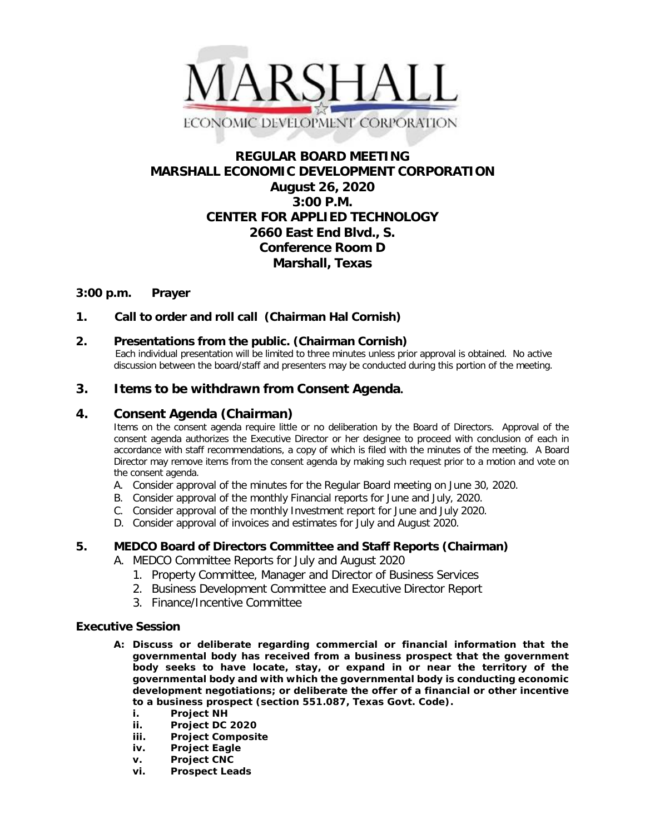

# **REGULAR BOARD MEETING MARSHALL ECONOMIC DEVELOPMENT CORPORATION August 26, 2020 3:00 P.M. CENTER FOR APPLIED TECHNOLOGY 2660 East End Blvd., S. Conference Room D Marshall, Texas**

### **3:00 p.m. Prayer**

### **1. Call to order and roll call (Chairman Hal Cornish)**

#### **2. Presentations from the public. (Chairman Cornish)**

 Each individual presentation will be limited to three minutes unless prior approval is obtained. No active discussion between the board/staff and presenters may be conducted during this portion of the meeting.

## **3. Items to be withdrawn from Consent Agenda.**

#### **4. Consent Agenda (Chairman)**

Items on the consent agenda require little or no deliberation by the Board of Directors. Approval of the consent agenda authorizes the Executive Director or her designee to proceed with conclusion of each in accordance with staff recommendations, a copy of which is filed with the minutes of the meeting. A Board Director may remove items from the consent agenda by making such request prior to a motion and vote on the consent agenda.

- A. Consider approval of the minutes for the Regular Board meeting on June 30, 2020.
- B. Consider approval of the monthly Financial reports for June and July, 2020.
- C. Consider approval of the monthly Investment report for June and July 2020.
- D. Consider approval of invoices and estimates for July and August 2020.

#### **5. MEDCO Board of Directors Committee and Staff Reports (Chairman)**

- A. MEDCO Committee Reports for July and August 2020
	- 1. Property Committee, Manager and Director of Business Services
	- 2. Business Development Committee and Executive Director Report
	- 3. Finance/Incentive Committee

#### **Executive Session**

- **A: Discuss or deliberate regarding commercial or financial information that the governmental body has received from a business prospect that the government body seeks to have locate, stay, or expand in or near the territory of the governmental body and with which the governmental body is conducting economic development negotiations; or deliberate the offer of a financial or other incentive to a business prospect (section 551.087, Texas Govt. Code).**
	- **i. Project NH**
	- **ii. Project DC 2020**
	- **iii. Project Composite**
	- **iv. Project Eagle**
	- **v. Project CNC**
	- **vi. Prospect Leads**